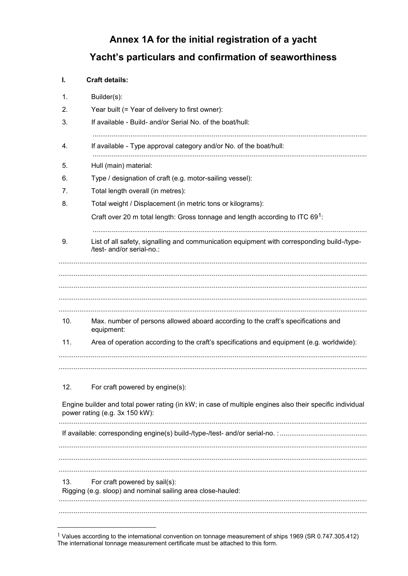## Annex 1A for the initial registration of a yacht Yacht's particulars and confirmation of seaworthiness

## **Craft details:**  $\mathbf{L}$

| 1.  | Builder(s):                                                                                                                                |  |  |  |
|-----|--------------------------------------------------------------------------------------------------------------------------------------------|--|--|--|
| 2.  | Year built (= Year of delivery to first owner):                                                                                            |  |  |  |
| 3.  | If available - Build- and/or Serial No. of the boat/hull:                                                                                  |  |  |  |
| 4.  | If available - Type approval category and/or No. of the boat/hull:                                                                         |  |  |  |
| 5.  | Hull (main) material:                                                                                                                      |  |  |  |
| 6.  | Type / designation of craft (e.g. motor-sailing vessel):                                                                                   |  |  |  |
| 7.  | Total length overall (in metres):                                                                                                          |  |  |  |
| 8.  | Total weight / Displacement (in metric tons or kilograms):                                                                                 |  |  |  |
|     | Craft over 20 m total length: Gross tonnage and length according to ITC 691:                                                               |  |  |  |
|     |                                                                                                                                            |  |  |  |
| 9.  | List of all safety, signalling and communication equipment with corresponding build-/type-<br>/test- and/or serial-no.:                    |  |  |  |
|     |                                                                                                                                            |  |  |  |
| 10. | Max. number of persons allowed aboard according to the craft's specifications and<br>equipment:                                            |  |  |  |
| 11. | Area of operation according to the craft's specifications and equipment (e.g. worldwide):                                                  |  |  |  |
| 12. | For craft powered by engine(s):                                                                                                            |  |  |  |
|     | Engine builder and total power rating (in kW; in case of multiple engines also their specific individual<br>power rating (e.g. 3x 150 kW): |  |  |  |
|     |                                                                                                                                            |  |  |  |
|     |                                                                                                                                            |  |  |  |
|     |                                                                                                                                            |  |  |  |
| 13. | For craft powered by sail(s):                                                                                                              |  |  |  |
|     | Rigging (e.g. sloop) and nominal sailing area close-hauled:                                                                                |  |  |  |
|     |                                                                                                                                            |  |  |  |

<sup>&</sup>lt;sup>1</sup> Values according to the international convention on tonnage measurement of ships 1969 (SR 0.747.305.412) The international tonnage measurement certificate must be attached to this form.